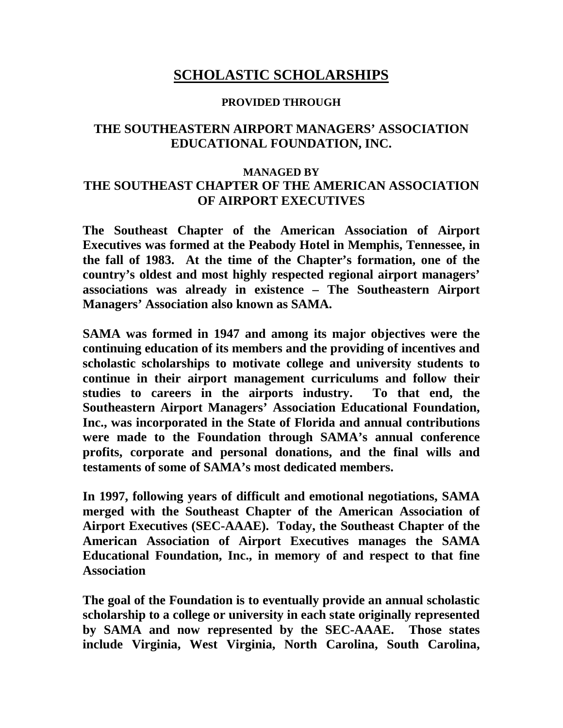## **SCHOLASTIC SCHOLARSHIPS**

#### **PROVIDED THROUGH**

#### **THE SOUTHEASTERN AIRPORT MANAGERS' ASSOCIATION EDUCATIONAL FOUNDATION, INC.**

#### **MANAGED BY THE SOUTHEAST CHAPTER OF THE AMERICAN ASSOCIATION OF AIRPORT EXECUTIVES**

**The Southeast Chapter of the American Association of Airport Executives was formed at the Peabody Hotel in Memphis, Tennessee, in the fall of 1983. At the time of the Chapter's formation, one of the country's oldest and most highly respected regional airport managers' associations was already in existence – The Southeastern Airport Managers' Association also known as SAMA.**

**SAMA was formed in 1947 and among its major objectives were the continuing education of its members and the providing of incentives and scholastic scholarships to motivate college and university students to continue in their airport management curriculums and follow their studies to careers in the airports industry. To that end, the Southeastern Airport Managers' Association Educational Foundation, Inc., was incorporated in the State of Florida and annual contributions were made to the Foundation through SAMA's annual conference profits, corporate and personal donations, and the final wills and testaments of some of SAMA's most dedicated members.** 

**In 1997, following years of difficult and emotional negotiations, SAMA merged with the Southeast Chapter of the American Association of Airport Executives (SEC-AAAE). Today, the Southeast Chapter of the American Association of Airport Executives manages the SAMA Educational Foundation, Inc., in memory of and respect to that fine Association**

**The goal of the Foundation is to eventually provide an annual scholastic scholarship to a college or university in each state originally represented by SAMA and now represented by the SEC-AAAE. Those states include Virginia, West Virginia, North Carolina, South Carolina,**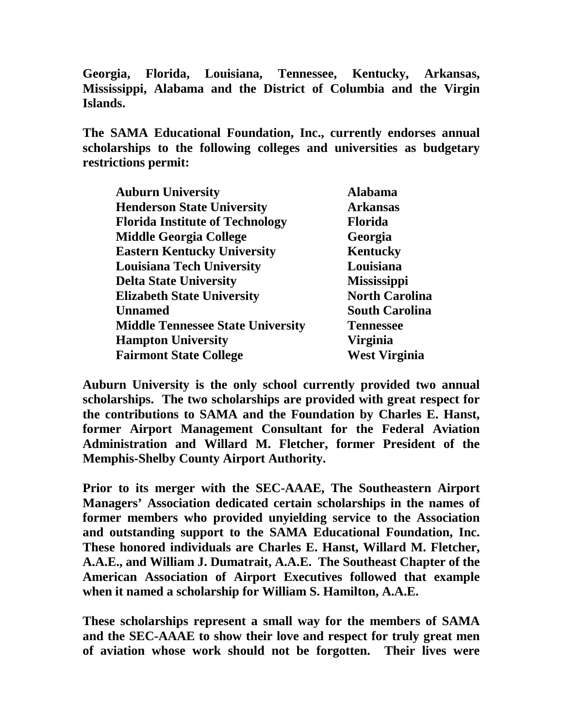**Georgia, Florida, Louisiana, Tennessee, Kentucky, Arkansas, Mississippi, Alabama and the District of Columbia and the Virgin Islands.**

**The SAMA Educational Foundation, Inc., currently endorses annual scholarships to the following colleges and universities as budgetary restrictions permit:**

| <b>Auburn University</b>                 | <b>Alabama</b>        |
|------------------------------------------|-----------------------|
| <b>Henderson State University</b>        | <b>Arkansas</b>       |
| <b>Florida Institute of Technology</b>   | <b>Florida</b>        |
| <b>Middle Georgia College</b>            | Georgia               |
| <b>Eastern Kentucky University</b>       | <b>Kentucky</b>       |
| <b>Louisiana Tech University</b>         | Louisiana             |
| <b>Delta State University</b>            | <b>Mississippi</b>    |
| <b>Elizabeth State University</b>        | <b>North Carolina</b> |
| <b>Unnamed</b>                           | <b>South Carolina</b> |
| <b>Middle Tennessee State University</b> | <b>Tennessee</b>      |
| <b>Hampton University</b>                | Virginia              |
| <b>Fairmont State College</b>            | <b>West Virginia</b>  |

**Auburn University is the only school currently provided two annual scholarships. The two scholarships are provided with great respect for the contributions to SAMA and the Foundation by Charles E. Hanst, former Airport Management Consultant for the Federal Aviation Administration and Willard M. Fletcher, former President of the Memphis-Shelby County Airport Authority.**

**Prior to its merger with the SEC-AAAE, The Southeastern Airport Managers' Association dedicated certain scholarships in the names of former members who provided unyielding service to the Association and outstanding support to the SAMA Educational Foundation, Inc. These honored individuals are Charles E. Hanst, Willard M. Fletcher, A.A.E., and William J. Dumatrait, A.A.E. The Southeast Chapter of the American Association of Airport Executives followed that example when it named a scholarship for William S. Hamilton, A.A.E.**

**These scholarships represent a small way for the members of SAMA and the SEC-AAAE to show their love and respect for truly great men of aviation whose work should not be forgotten. Their lives were**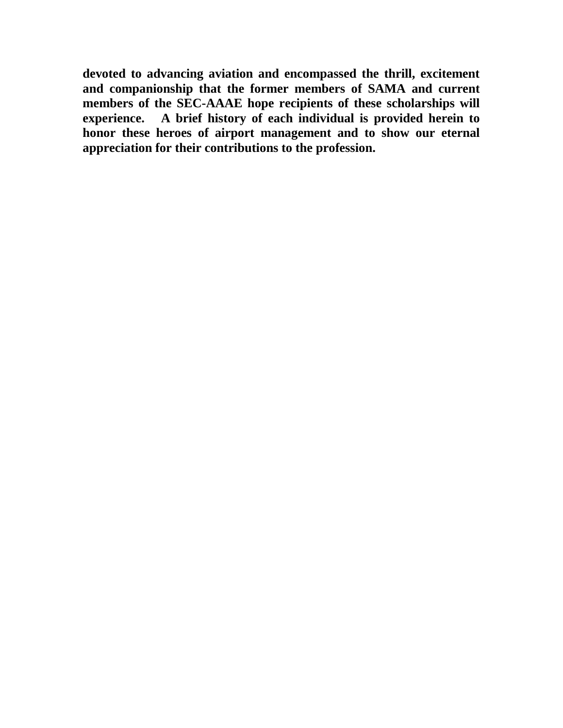**devoted to advancing aviation and encompassed the thrill, excitement and companionship that the former members of SAMA and current members of the SEC-AAAE hope recipients of these scholarships will experience. A brief history of each individual is provided herein to honor these heroes of airport management and to show our eternal appreciation for their contributions to the profession.**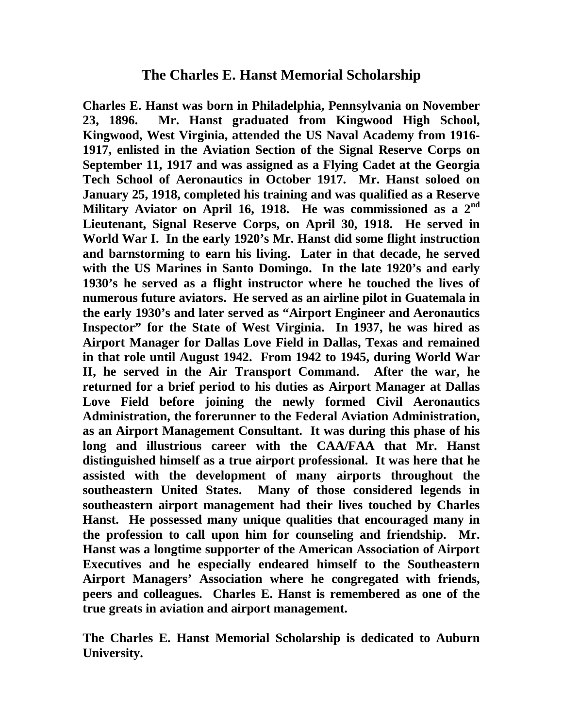**Charles E. Hanst was born in Philadelphia, Pennsylvania on November 23, 1896. Mr. Hanst graduated from Kingwood High School, Kingwood, West Virginia, attended the US Naval Academy from 1916- 1917, enlisted in the Aviation Section of the Signal Reserve Corps on September 11, 1917 and was assigned as a Flying Cadet at the Georgia Tech School of Aeronautics in October 1917. Mr. Hanst soloed on January 25, 1918, completed his training and was qualified as a Reserve Military Aviator on April 16, 1918. He was commissioned as a 2nd Lieutenant, Signal Reserve Corps, on April 30, 1918. He served in World War I. In the early 1920's Mr. Hanst did some flight instruction and barnstorming to earn his living. Later in that decade, he served with the US Marines in Santo Domingo. In the late 1920's and early 1930's he served as a flight instructor where he touched the lives of numerous future aviators. He served as an airline pilot in Guatemala in the early 1930's and later served as "Airport Engineer and Aeronautics Inspector" for the State of West Virginia. In 1937, he was hired as Airport Manager for Dallas Love Field in Dallas, Texas and remained in that role until August 1942. From 1942 to 1945, during World War II, he served in the Air Transport Command. After the war, he returned for a brief period to his duties as Airport Manager at Dallas Love Field before joining the newly formed Civil Aeronautics Administration, the forerunner to the Federal Aviation Administration, as an Airport Management Consultant. It was during this phase of his long and illustrious career with the CAA/FAA that Mr. Hanst distinguished himself as a true airport professional. It was here that he assisted with the development of many airports throughout the southeastern United States. Many of those considered legends in southeastern airport management had their lives touched by Charles Hanst. He possessed many unique qualities that encouraged many in the profession to call upon him for counseling and friendship. Mr. Hanst was a longtime supporter of the American Association of Airport Executives and he especially endeared himself to the Southeastern Airport Managers' Association where he congregated with friends, peers and colleagues. Charles E. Hanst is remembered as one of the true greats in aviation and airport management.**

**The Charles E. Hanst Memorial Scholarship is dedicated to Auburn University.**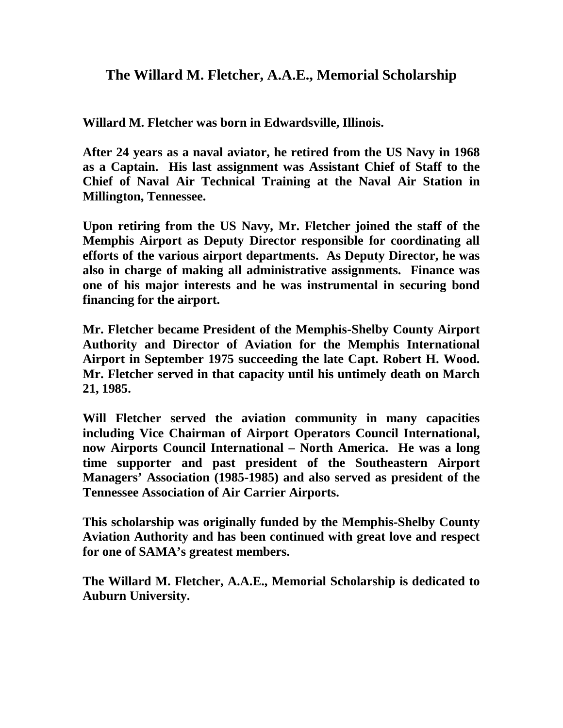# **The Willard M. Fletcher, A.A.E., Memorial Scholarship**

**Willard M. Fletcher was born in Edwardsville, Illinois.** 

**After 24 years as a naval aviator, he retired from the US Navy in 1968 as a Captain. His last assignment was Assistant Chief of Staff to the Chief of Naval Air Technical Training at the Naval Air Station in Millington, Tennessee.**

**Upon retiring from the US Navy, Mr. Fletcher joined the staff of the Memphis Airport as Deputy Director responsible for coordinating all efforts of the various airport departments. As Deputy Director, he was also in charge of making all administrative assignments. Finance was one of his major interests and he was instrumental in securing bond financing for the airport.**

**Mr. Fletcher became President of the Memphis-Shelby County Airport Authority and Director of Aviation for the Memphis International Airport in September 1975 succeeding the late Capt. Robert H. Wood. Mr. Fletcher served in that capacity until his untimely death on March 21, 1985.**

**Will Fletcher served the aviation community in many capacities including Vice Chairman of Airport Operators Council International, now Airports Council International – North America. He was a long time supporter and past president of the Southeastern Airport Managers' Association (1985-1985) and also served as president of the Tennessee Association of Air Carrier Airports.**

**This scholarship was originally funded by the Memphis-Shelby County Aviation Authority and has been continued with great love and respect for one of SAMA's greatest members.**

**The Willard M. Fletcher, A.A.E., Memorial Scholarship is dedicated to Auburn University.**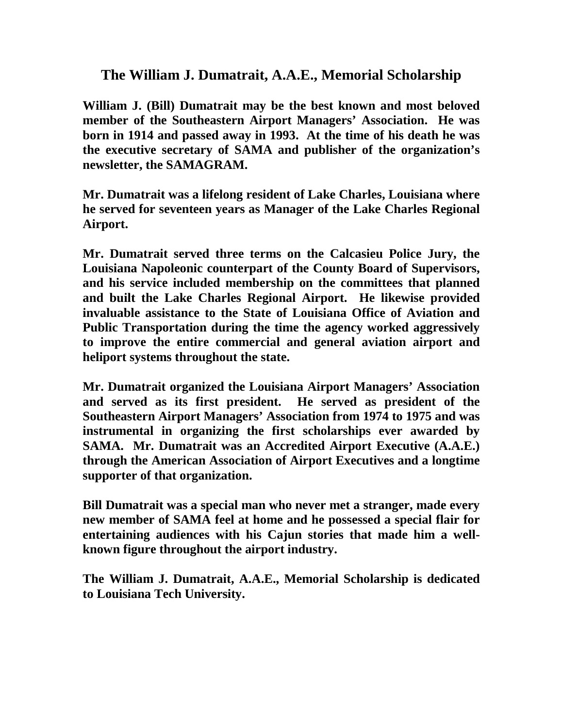## **The William J. Dumatrait, A.A.E., Memorial Scholarship**

**William J. (Bill) Dumatrait may be the best known and most beloved member of the Southeastern Airport Managers' Association. He was born in 1914 and passed away in 1993. At the time of his death he was the executive secretary of SAMA and publisher of the organization's newsletter, the SAMAGRAM.**

**Mr. Dumatrait was a lifelong resident of Lake Charles, Louisiana where he served for seventeen years as Manager of the Lake Charles Regional Airport.**

**Mr. Dumatrait served three terms on the Calcasieu Police Jury, the Louisiana Napoleonic counterpart of the County Board of Supervisors, and his service included membership on the committees that planned and built the Lake Charles Regional Airport. He likewise provided invaluable assistance to the State of Louisiana Office of Aviation and Public Transportation during the time the agency worked aggressively to improve the entire commercial and general aviation airport and heliport systems throughout the state.**

**Mr. Dumatrait organized the Louisiana Airport Managers' Association and served as its first president. He served as president of the Southeastern Airport Managers' Association from 1974 to 1975 and was instrumental in organizing the first scholarships ever awarded by SAMA. Mr. Dumatrait was an Accredited Airport Executive (A.A.E.) through the American Association of Airport Executives and a longtime supporter of that organization.**

**Bill Dumatrait was a special man who never met a stranger, made every new member of SAMA feel at home and he possessed a special flair for entertaining audiences with his Cajun stories that made him a wellknown figure throughout the airport industry.**

**The William J. Dumatrait, A.A.E., Memorial Scholarship is dedicated to Louisiana Tech University.**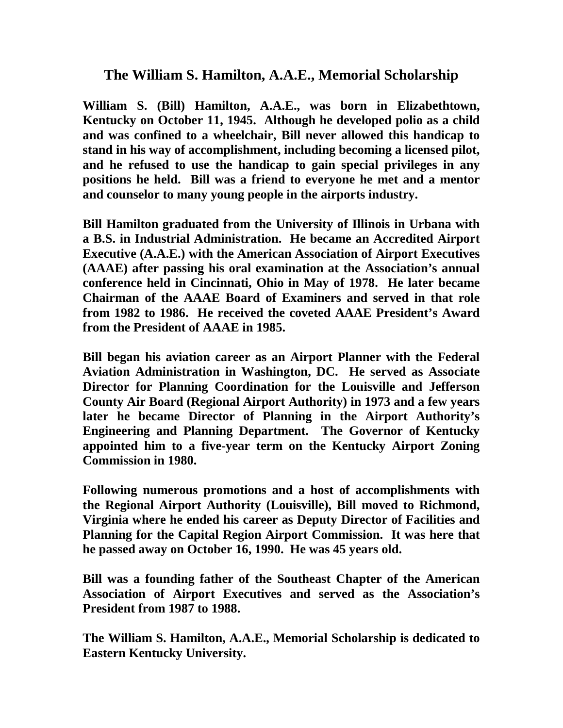### **The William S. Hamilton, A.A.E., Memorial Scholarship**

**William S. (Bill) Hamilton, A.A.E., was born in Elizabethtown, Kentucky on October 11, 1945. Although he developed polio as a child and was confined to a wheelchair, Bill never allowed this handicap to stand in his way of accomplishment, including becoming a licensed pilot, and he refused to use the handicap to gain special privileges in any positions he held. Bill was a friend to everyone he met and a mentor and counselor to many young people in the airports industry.** 

**Bill Hamilton graduated from the University of Illinois in Urbana with a B.S. in Industrial Administration. He became an Accredited Airport Executive (A.A.E.) with the American Association of Airport Executives (AAAE) after passing his oral examination at the Association's annual conference held in Cincinnati, Ohio in May of 1978. He later became Chairman of the AAAE Board of Examiners and served in that role from 1982 to 1986. He received the coveted AAAE President's Award from the President of AAAE in 1985.**

**Bill began his aviation career as an Airport Planner with the Federal Aviation Administration in Washington, DC. He served as Associate Director for Planning Coordination for the Louisville and Jefferson County Air Board (Regional Airport Authority) in 1973 and a few years later he became Director of Planning in the Airport Authority's Engineering and Planning Department. The Governor of Kentucky appointed him to a five-year term on the Kentucky Airport Zoning Commission in 1980.**

**Following numerous promotions and a host of accomplishments with the Regional Airport Authority (Louisville), Bill moved to Richmond, Virginia where he ended his career as Deputy Director of Facilities and Planning for the Capital Region Airport Commission. It was here that he passed away on October 16, 1990. He was 45 years old.**

**Bill was a founding father of the Southeast Chapter of the American Association of Airport Executives and served as the Association's President from 1987 to 1988.**

**The William S. Hamilton, A.A.E., Memorial Scholarship is dedicated to Eastern Kentucky University.**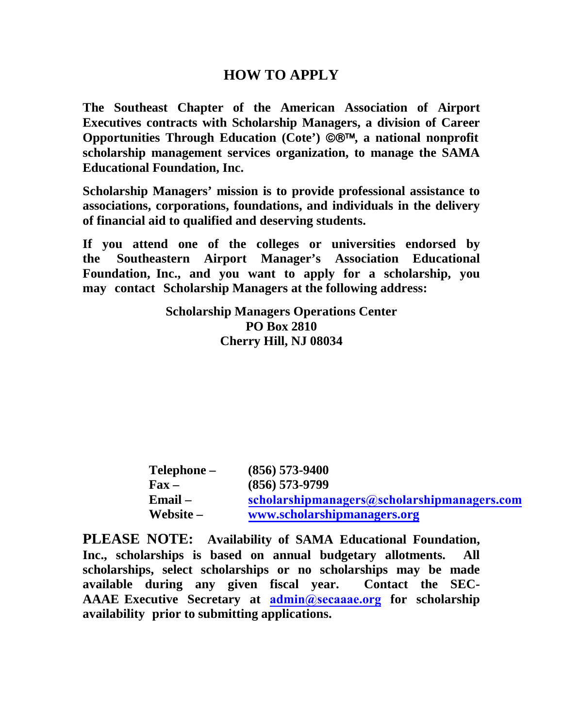### **HOW TO APPLY**

**The Southeast Chapter of the American Association of Airport Executives contracts with Scholarship Managers, a division of Career Opportunities Through Education (Cote') ©®™, a national nonprofit scholarship management services organization, to manage the SAMA Educational Foundation, Inc.**

**Scholarship Managers' mission is to provide professional assistance to associations, corporations, foundations, and individuals in the delivery of financial aid to qualified and deserving students.** 

**If you attend one of the colleges or universities endorsed by the Southeastern Airport Manager's Association Educational Foundation, Inc., and you want to apply for a scholarship, you may contact Scholarship Managers at the following address:** 

> **Scholarship Managers Operations Center PO Box 2810 Cherry Hill, NJ 08034**

| Telephone –   | $(856)$ 573-9400                            |
|---------------|---------------------------------------------|
| $\bf{F}$ ax – | $(856)$ 573-9799                            |
| $Email -$     | scholarshipmanagers@scholarshipmanagers.com |
| Website $-$   | www.scholarshipmanagers.org                 |

**PLEASE NOTE: Availability of SAMA Educational Foundation, Inc., scholarships is based on annual budgetary allotments. All scholarships, select scholarships or no scholarships may be made available during any given fiscal year. Contact the SEC-AAAE Executive Secretary at [admin@secaaae.org](mailto:secaaae@aol.com) for scholarship availability prior to submitting applications.**